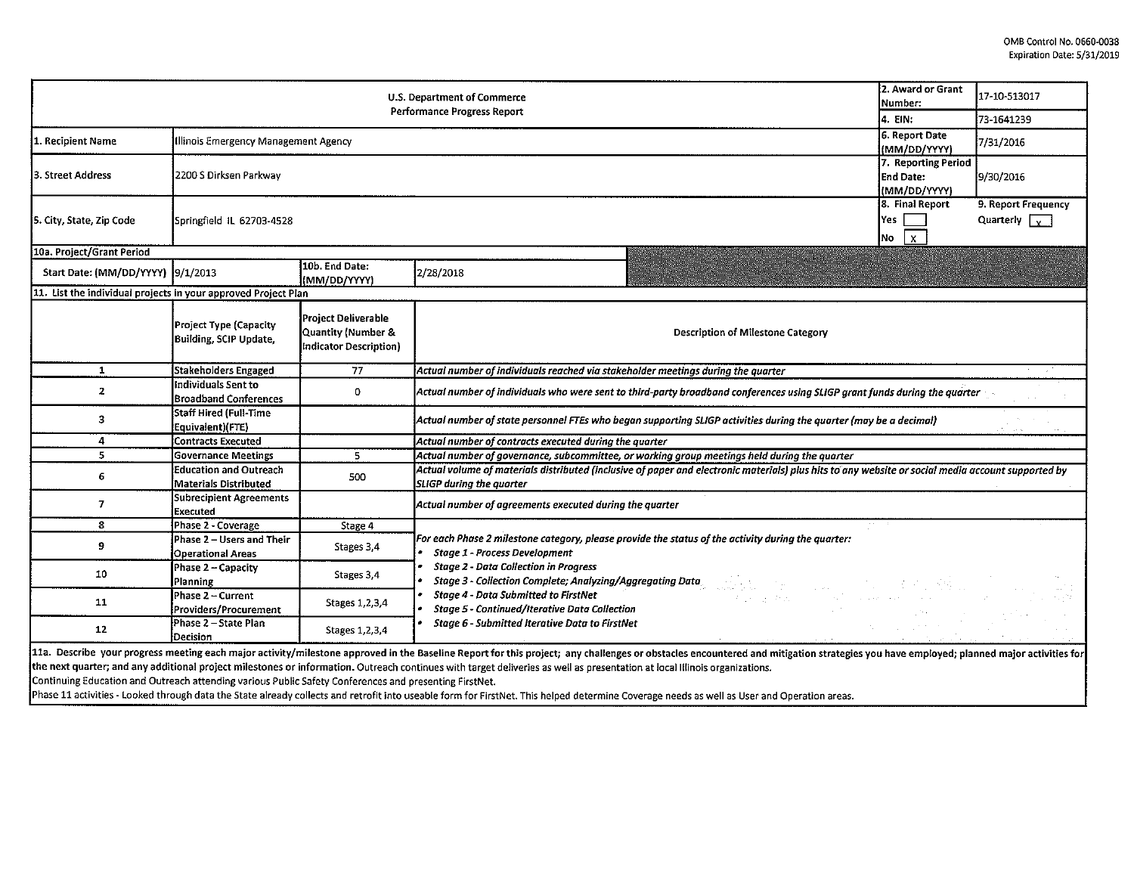| U.S. Department of Commerce<br>Performance Progress Report                                             |                                                        |                                                                            |                                                                                                                                                                                                                                                                                                                                                                                                              |                                                  | 17-10-513017                                |
|--------------------------------------------------------------------------------------------------------|--------------------------------------------------------|----------------------------------------------------------------------------|--------------------------------------------------------------------------------------------------------------------------------------------------------------------------------------------------------------------------------------------------------------------------------------------------------------------------------------------------------------------------------------------------------------|--------------------------------------------------|---------------------------------------------|
|                                                                                                        |                                                        |                                                                            |                                                                                                                                                                                                                                                                                                                                                                                                              |                                                  | 73-1641239                                  |
| 1. Recipient Name                                                                                      | Illinois Emergency Management Agency                   |                                                                            |                                                                                                                                                                                                                                                                                                                                                                                                              | 6. Report Date<br>(MM/DD/YYYY)                   | 7/31/2016                                   |
| 3. Street Address                                                                                      | 2200 S Dirksen Parkway                                 |                                                                            |                                                                                                                                                                                                                                                                                                                                                                                                              | 7. Reporting Period<br>End Date:<br>(MM/DD/YYYY) | 9/30/2016                                   |
| 5. City, State, Zip Code                                                                               | Springfield IL 62703-4528                              |                                                                            |                                                                                                                                                                                                                                                                                                                                                                                                              | 8. Final Report<br>Yes<br>$\mathbf{x}$<br>Mo     | 9. Report Frequency<br>Quarterly $\sqrt{v}$ |
| 10a. Project/Grant Period                                                                              |                                                        |                                                                            |                                                                                                                                                                                                                                                                                                                                                                                                              |                                                  |                                             |
| Start Date: (MM/DD/YYYY) [9/1/2013                                                                     |                                                        | 10b. End Date:<br>(MM/DD/YYYY)                                             | 2/28/2018                                                                                                                                                                                                                                                                                                                                                                                                    |                                                  |                                             |
| 11. List the individual projects in your approved Project Plan                                         |                                                        |                                                                            |                                                                                                                                                                                                                                                                                                                                                                                                              |                                                  |                                             |
|                                                                                                        | Project Type (Capacity<br>Building, SCIP Update,       | <b>Project Deliverable</b><br>Quantity (Number &<br>Indicator Description) | Description of Milestone Category                                                                                                                                                                                                                                                                                                                                                                            |                                                  |                                             |
| $\mathbf{1}$                                                                                           | <b>Stakeholders Engaged</b>                            | 77                                                                         | Actual number of individuals reached via stakeholder meetings during the quarter                                                                                                                                                                                                                                                                                                                             |                                                  |                                             |
| $\mathbf{z}$                                                                                           | Individuals Sent to<br><b>Broadband Conferences</b>    | 0                                                                          | Actual number of individuals who were sent to third-party broadband conferences using SLIGP grant funds during the quarter                                                                                                                                                                                                                                                                                   |                                                  |                                             |
| 3                                                                                                      | Staff Hired (Full-Time<br>Equivalent)(FTE)             |                                                                            | Actual number of state personnel FTEs who began supporting SLIGP activities during the quarter (may be a decimal)                                                                                                                                                                                                                                                                                            |                                                  |                                             |
| 4                                                                                                      | <b>Contracts Executed</b>                              |                                                                            | Actual number of contracts executed during the quarter                                                                                                                                                                                                                                                                                                                                                       |                                                  |                                             |
| 5                                                                                                      | <b>Governance Meetings</b>                             | 5                                                                          | Actual number of governance, subcommittee, or working group meetings held during the quarter                                                                                                                                                                                                                                                                                                                 |                                                  |                                             |
| 6                                                                                                      | <b>Education and Outreach</b><br>Materials Distributed | 500                                                                        | Actual volume of materials distributed (inclusive of paper and electronic materials) plus hits to any website or social media account supported by<br><b>SLIGP during the quarter</b>                                                                                                                                                                                                                        |                                                  |                                             |
| 7                                                                                                      | <b>Subrecipient Agreements</b><br>Executed             |                                                                            | Actual number of agreements executed during the quarter                                                                                                                                                                                                                                                                                                                                                      |                                                  |                                             |
| 8                                                                                                      | Phase 2 - Coverage                                     | Stage 4                                                                    |                                                                                                                                                                                                                                                                                                                                                                                                              |                                                  |                                             |
| 9                                                                                                      | Phase 2 - Users and Their<br><b>Operational Areas</b>  | Stages 3,4                                                                 | For each Phase 2 milestone category, please provide the status of the activity during the quarter:<br><b>Stage 1 - Process Development</b>                                                                                                                                                                                                                                                                   |                                                  |                                             |
| 10                                                                                                     | Phase 2 - Capacity<br>Planning                         | Stages 3,4                                                                 | <b>Stage 2 - Data Collection in Progress</b><br><b>Stage 3 - Collection Complete; Analyzing/Aggregating Data</b>                                                                                                                                                                                                                                                                                             |                                                  |                                             |
| 11                                                                                                     | Phase 2 - Current<br>Providers/Procurement             | Stages 1, 2, 3, 4                                                          | Stage 4 - Data Submitted to FirstNet<br>不是一定的话。<br><b>Stage 5 - Continued/Iterative Data Collection</b>                                                                                                                                                                                                                                                                                                      |                                                  |                                             |
| 12                                                                                                     | Phase 2 - State Plan<br>Decision                       | Stages 1, 2, 3, 4                                                          | <b>Stage 6 - Submitted Iterative Data to FirstNet</b>                                                                                                                                                                                                                                                                                                                                                        |                                                  |                                             |
| Continuing Education and Outreach attending various Public Safety Conferences and presenting FirstNet. |                                                        |                                                                            | 11a. Describe your progress meeting each major activity/milestone approved in the Baseline Report for this project; any challenges or obstacles encountered and mitigation strategies you have employed; planned major activit<br>the next quarter; and any additional project milestones or information. Outreach continues with target deliveries as well as presentation at local Illinois organizations. |                                                  |                                             |

Phase 11 activities - Looked through data the State already collects and retrofit into useable form for FirstNet. This helped determine Coverage needs as well as User and Operation areas.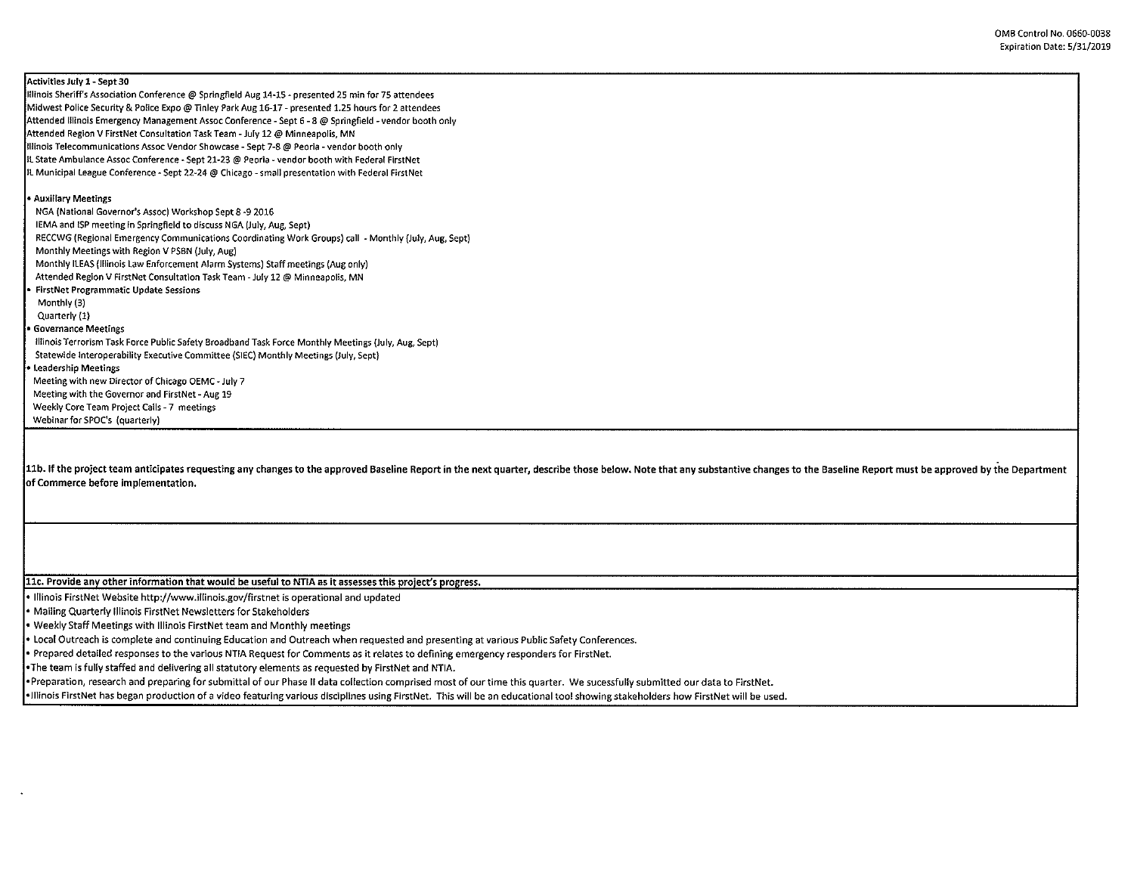Activities July 1- Sept 30 Illinois Sheriff's Association Conference@ Springfield Aug 14-15 - presented 25 min for 75 attendees Midwest Police Security & Police Expo@ Tinley Park Aug 16-17 - presented 1.25 hours for 2 attendees Attended Illinois Emergency Management Assoc Conference - Sept 6 - 8 @ Springfield -vendor booth only Attended Region V FirstNet Consultation Task Team - July 12@ Minneapolis, MN Illinois Telecommunications Assoc Vendor Showcase - Sept 7-8@ Peoria -vendor booth only IL State Ambulance Assoc Conference - Sept 21-23 @ Peoria - vendor booth with Federal FirstNet IL Municipal league Conference- Sept 22-24@ Chicago - small presentation with Federal FirstNet • Auxillary Meetings NGA (National Governor's Assoc) Workshop Sept 8-9 2016 IEMA and !SP meeting in Springfield to discuss NGA (July, Aug, Sept) RECCWG (Regional Emergency Communications Coordinating Work Groups) call • Monthly {July, Aug, Sept) Monthly Meetings with Region V PSBN (July, Aug) Monthly ILEAS {lllinois Law Enforcement Alarm Systems) Staff meetings (Aug only) Attended Region V FirstNet Consultation Task Team - July 12@ Minneapolis, MN . FirstNet Programmatic Update Sessions Monthly (3) Quarterly (1) • Governance Meetings Illinois Terrorism Task Force Public Safety Broadband Task Force Monthly Meetings (July, Aug, Sept) Statewide Interoperability Executive Committee (SlEC) Monthly Meetings (July, Sept) • Leadership Meetings Meeting with new Director of Chicago OEMC - July 7 Meeting with the Governor and FirstNet - Aug 19 Weekly Core Team Project Calls - 7 meetings Webinar for SPOC's (quarterly)

11b. If the project team anticipates requesting any changes to the approved Baseline Report in the next quarter, describe those below. Note that any substantive changes to the Baseline Report must be approved by the Depart of Commerce before implementation.

11c. Provide any other information that would be useful to NTIA as it assesses this project's progress.

• Illinois FirstNet Website http://www.Hlinois.gov/firstnet is operational and updated

• Mailing Quarterly Illinois FirstNet Newsletters for Stakeholders

• Weekly Staff Meetings with Illinois FirstNet team and Monthly meetings

• local Outreach is complete and continuing Education and Outreach when requested and presenting at various Public Safety Conferences.

• Prepared detailed responses to the various NTIA Request for Comments as it relates to defining emergency responders for FirstNet.

•The team is fully staffed and delivering all statutory elements as requested by FirstNet and NTIA.

•Preparation, research and preparing for submittal of our Phase II data collection comprised most of our time this quarter. We sucessfully submitted our data to FirstNet.

•Illinois FirstNet has began production of a video featuring various disciplines using FirstNet. This will be an educational tool showing stakeholders how FirstNet will be used.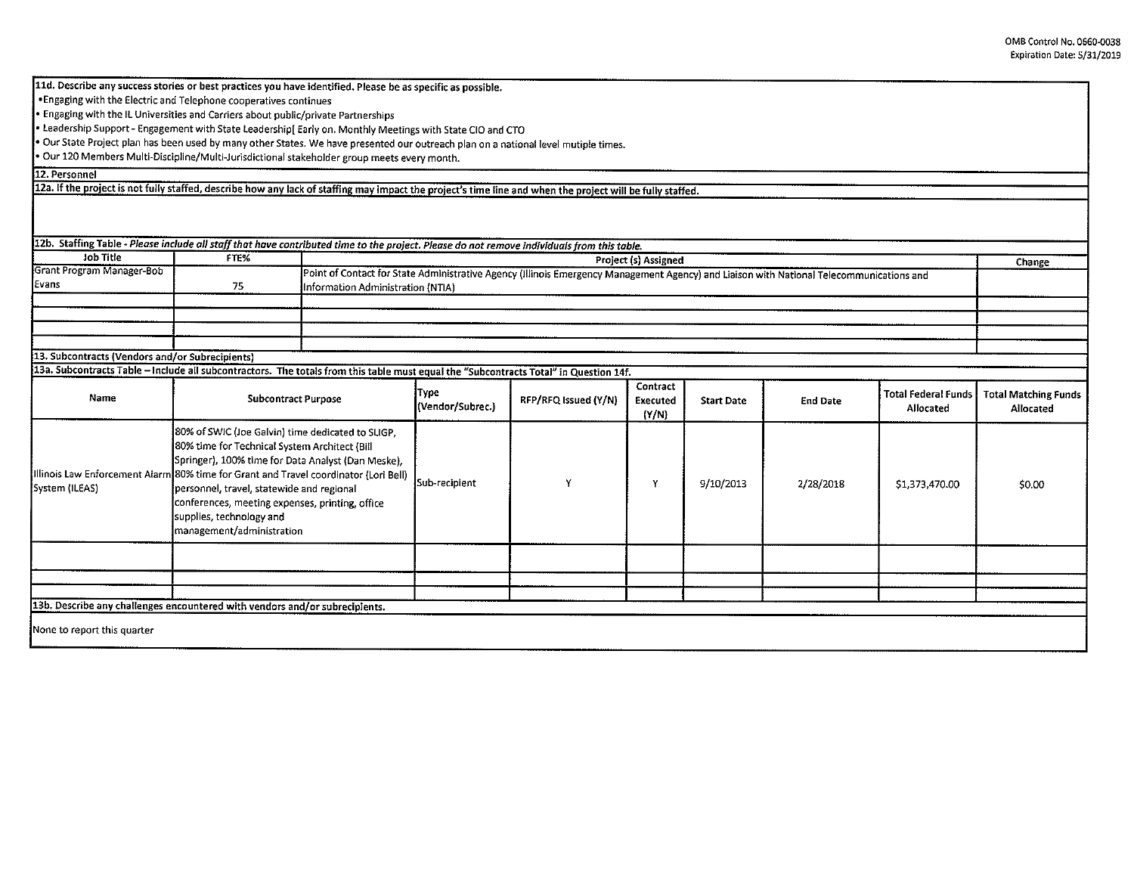11d. Describe any success stories or best practices you have identified. Please be as specific as possible.

•Engaging with the Electric and Telephone cooperatives continues

• Engaging with the IL Universities and Carriers about public/private Partnerships

• leadership Support- Engagement with State leadership[ Early on. Monthly Meetings with State CIO and CTO

• Our State Project plan has been used by many other States. We have presented our outreach plan on a national level mutiple times.

• Our 120 Members Multi-Discipline/Multi-Jurisdictional stakeholder group meets every month.

12. Personnel

12a. If the project is not fully staffed, describe how any lack of staffing may impact the project's time line and when the project will be fully staffed.

| 12b. Staffing Table - Please include all staff that have contributed time to the project. Please do not remove individuals from this table.<br>Job Title | FTE%                                                                                                                                                                                                                                                                                                                                                                                                      |                                                                                                                                                                               |                          |                      |                               |                   |                 |                                         |                                          |
|----------------------------------------------------------------------------------------------------------------------------------------------------------|-----------------------------------------------------------------------------------------------------------------------------------------------------------------------------------------------------------------------------------------------------------------------------------------------------------------------------------------------------------------------------------------------------------|-------------------------------------------------------------------------------------------------------------------------------------------------------------------------------|--------------------------|----------------------|-------------------------------|-------------------|-----------------|-----------------------------------------|------------------------------------------|
| Grant Program Manager-Bob                                                                                                                                |                                                                                                                                                                                                                                                                                                                                                                                                           | Project (s) Assigned                                                                                                                                                          |                          |                      |                               |                   |                 | Change                                  |                                          |
| Evans                                                                                                                                                    | 75                                                                                                                                                                                                                                                                                                                                                                                                        | Point of Contact for State Administrative Agency (Illinois Emergency Management Agency) and Liaison with National Telecommunications and<br>Information Administration (NTIA) |                          |                      |                               |                   |                 |                                         |                                          |
|                                                                                                                                                          |                                                                                                                                                                                                                                                                                                                                                                                                           |                                                                                                                                                                               |                          |                      |                               |                   |                 |                                         |                                          |
|                                                                                                                                                          |                                                                                                                                                                                                                                                                                                                                                                                                           |                                                                                                                                                                               |                          |                      |                               |                   |                 |                                         |                                          |
|                                                                                                                                                          |                                                                                                                                                                                                                                                                                                                                                                                                           |                                                                                                                                                                               |                          |                      |                               |                   |                 |                                         |                                          |
| 13. Subcontracts (Vendors and/or Subrecipients)                                                                                                          |                                                                                                                                                                                                                                                                                                                                                                                                           |                                                                                                                                                                               |                          |                      |                               |                   |                 |                                         |                                          |
| 13a. Subcontracts Table - Include all subcontractors. The totals from this table must equal the "Subcontracts Total" in Question 14f.                    |                                                                                                                                                                                                                                                                                                                                                                                                           |                                                                                                                                                                               |                          |                      |                               |                   |                 |                                         |                                          |
|                                                                                                                                                          |                                                                                                                                                                                                                                                                                                                                                                                                           |                                                                                                                                                                               |                          |                      |                               |                   |                 |                                         |                                          |
| Name                                                                                                                                                     | <b>Subcontract Purpose</b>                                                                                                                                                                                                                                                                                                                                                                                |                                                                                                                                                                               | Type<br>(Vendor/Subrec.) | RFP/RFQ Issued (Y/N) | Contract<br>Executed<br>(Y/N) | <b>Start Date</b> | <b>End Date</b> | <b>Total Federal Funds</b><br>Allocated | <b>Total Matching Funds</b><br>Allocated |
| System (ILEAS)                                                                                                                                           | 80% of SWIC (Joe Galvin) time dedicated to SLIGP,<br>80% time for Technical System Architect (Bill<br>Springer), 100% time for Data Analyst (Dan Meske),<br>Illinois Law Enforcement Alarm 80% time for Grant and Travel coordinator (Lori Bell)<br>personnel, travel, statewide and regional<br>conferences, meeting expenses, printing, office<br>supplies, technology and<br>management/administration |                                                                                                                                                                               | Sub-recipient            |                      | Y                             | 9/10/2013         | 2/28/2018       | \$1,373,470.00                          | \$0.00                                   |
|                                                                                                                                                          |                                                                                                                                                                                                                                                                                                                                                                                                           |                                                                                                                                                                               |                          |                      |                               |                   |                 |                                         |                                          |
|                                                                                                                                                          |                                                                                                                                                                                                                                                                                                                                                                                                           |                                                                                                                                                                               |                          |                      |                               |                   |                 |                                         |                                          |
|                                                                                                                                                          |                                                                                                                                                                                                                                                                                                                                                                                                           |                                                                                                                                                                               |                          |                      |                               |                   |                 |                                         |                                          |
| 13b. Describe any challenges encountered with vendors and/or subrecipients.                                                                              |                                                                                                                                                                                                                                                                                                                                                                                                           |                                                                                                                                                                               |                          |                      |                               |                   |                 |                                         |                                          |
| None to report this quarter                                                                                                                              |                                                                                                                                                                                                                                                                                                                                                                                                           |                                                                                                                                                                               |                          |                      |                               |                   |                 |                                         |                                          |